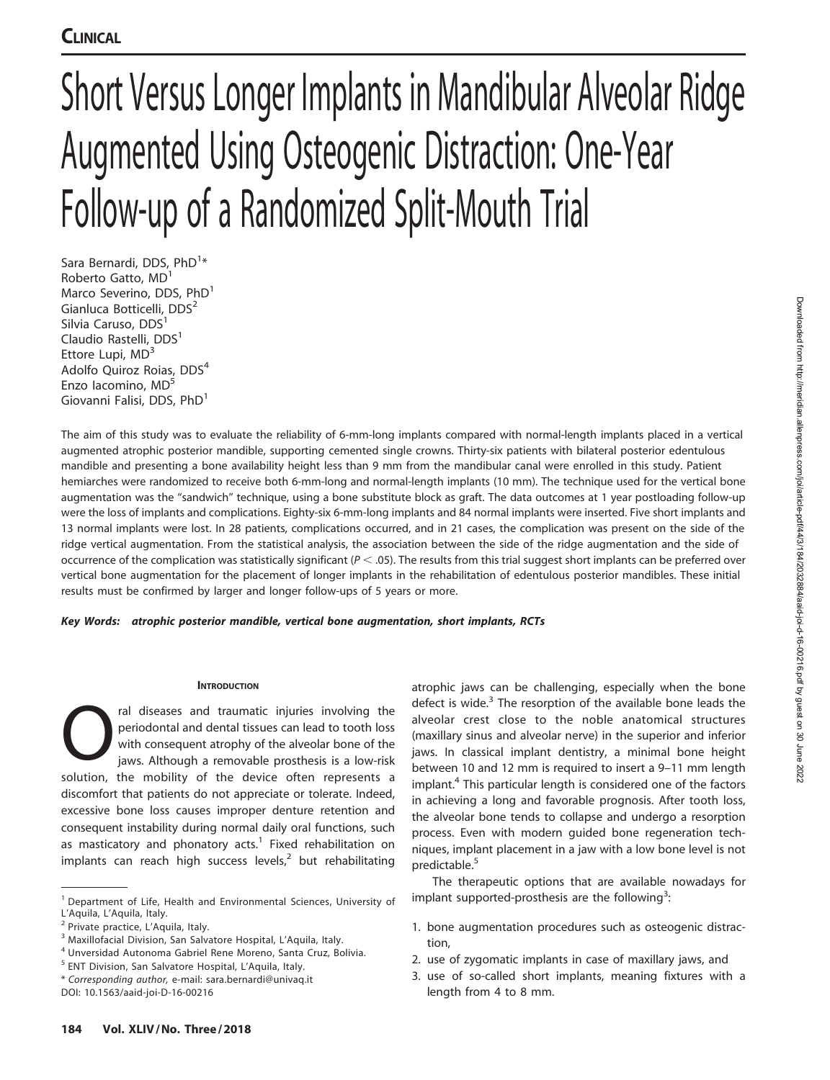# Short Versus Longer Implants in Mandibular Alveolar Ridge Augmented Using Osteogenic Distraction: One-Year Follow-up of a Randomized Split-Mouth Trial

Sara Bernardi, DDS, PhD<sup>1</sup>\* Roberto Gatto, MD<sup>1</sup> Marco Severino, DDS, PhD<sup>1</sup> Gianluca Botticelli, DDS<sup>2</sup> Silvia Caruso, DDS<sup>1</sup> Claudio Rastelli, DDS<sup>1</sup> Ettore Lupi,  $MD<sup>3</sup>$ Adolfo Quiroz Roias, DDS<sup>4</sup> Enzo Iacomino, MD<sup>5</sup> Giovanni Falisi, DDS, PhD<sup>1</sup>

The aim of this study was to evaluate the reliability of 6-mm-long implants compared with normal-length implants placed in a vertical augmented atrophic posterior mandible, supporting cemented single crowns. Thirty-six patients with bilateral posterior edentulous mandible and presenting a bone availability height less than 9 mm from the mandibular canal were enrolled in this study. Patient hemiarches were randomized to receive both 6-mm-long and normal-length implants (10 mm). The technique used for the vertical bone augmentation was the ''sandwich'' technique, using a bone substitute block as graft. The data outcomes at 1 year postloading follow-up were the loss of implants and complications. Eighty-six 6-mm-long implants and 84 normal implants were inserted. Five short implants and 13 normal implants were lost. In 28 patients, complications occurred, and in 21 cases, the complication was present on the side of the ridge vertical augmentation. From the statistical analysis, the association between the side of the ridge augmentation and the side of occurrence of the complication was statistically significant ( $P < .05$ ). The results from this trial suggest short implants can be preferred over vertical bone augmentation for the placement of longer implants in the rehabilitation of edentulous posterior mandibles. These initial results must be confirmed by larger and longer follow-ups of 5 years or more.

## Key Words: atrophic posterior mandible, vertical bone augmentation, short implants, RCTs

## **INTRODUCTION**

ral diseases and traumatic injuries involving the<br>
periodontal and dental tissues can lead to tooth loss<br>
with consequent atrophy of the alveolar bone of the<br>
jaws. Although a removable prosthesis is a low-risk<br>
solution t periodontal and dental tissues can lead to tooth loss with consequent atrophy of the alveolar bone of the solution, the mobility of the device often represents a discomfort that patients do not appreciate or tolerate. Indeed, excessive bone loss causes improper denture retention and consequent instability during normal daily oral functions, such as masticatory and phonatory acts.<sup>1</sup> Fixed rehabilitation on implants can reach high success levels, $<sup>2</sup>$  but rehabilitating</sup>

atrophic jaws can be challenging, especially when the bone defect is wide. $3$  The resorption of the available bone leads the alveolar crest close to the noble anatomical structures (maxillary sinus and alveolar nerve) in the superior and inferior jaws. In classical implant dentistry, a minimal bone height between 10 and 12 mm is required to insert a 9–11 mm length implant.<sup>4</sup> This particular length is considered one of the factors in achieving a long and favorable prognosis. After tooth loss, the alveolar bone tends to collapse and undergo a resorption process. Even with modern guided bone regeneration techniques, implant placement in a jaw with a low bone level is not predictable.<sup>5</sup>

The therapeutic options that are available nowadays for implant supported-prosthesis are the following<sup>3</sup>:

- 1. bone augmentation procedures such as osteogenic distraction,
- 2. use of zygomatic implants in case of maxillary jaws, and
- 3. use of so-called short implants, meaning fixtures with a length from 4 to 8 mm.

<sup>&</sup>lt;sup>1</sup> Department of Life, Health and Environmental Sciences, University of L'Aquila, L'Aquila, Italy.

<sup>2</sup> Private practice, L'Aquila, Italy.

<sup>3</sup> Maxillofacial Division, San Salvatore Hospital, L'Aquila, Italy.

<sup>4</sup> Unversidad Autonoma Gabriel Rene Moreno, Santa Cruz, Bolivia.

<sup>5</sup> ENT Division, San Salvatore Hospital, L'Aquila, Italy.

<sup>\*</sup> Corresponding author, e-mail: sara.bernardi@univaq.it

DOI: 10.1563/aaid-joi-D-16-00216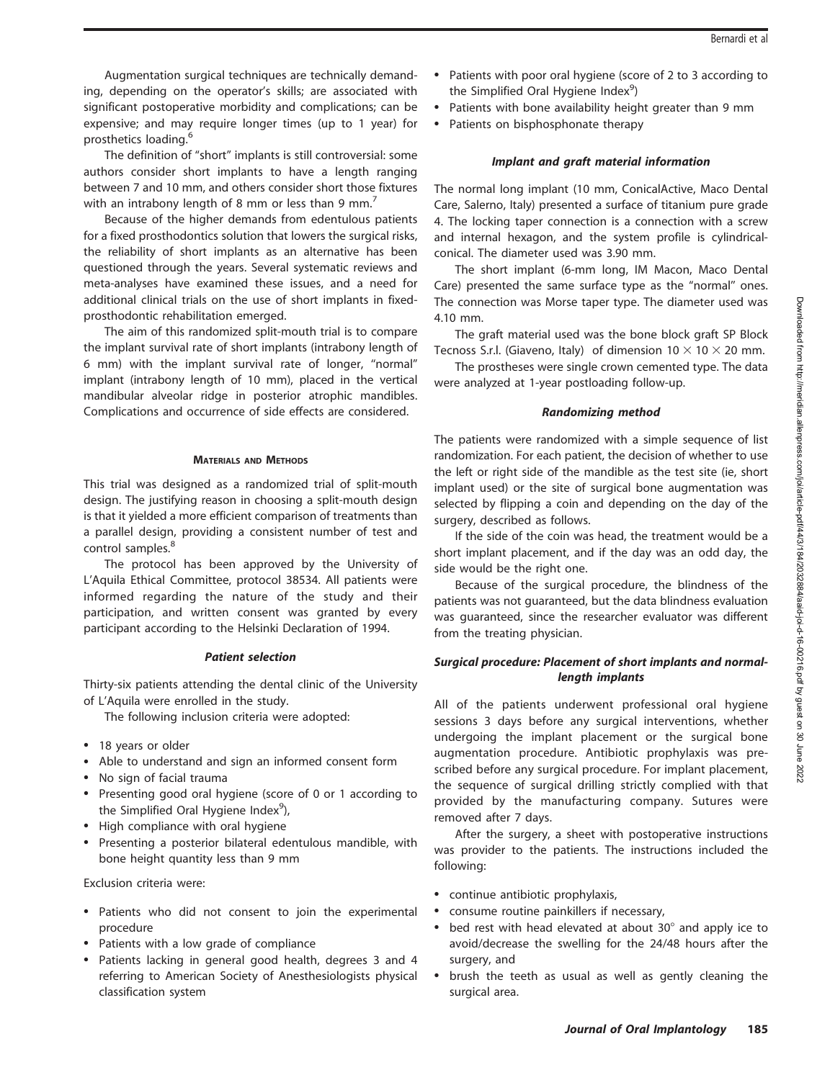Augmentation surgical techniques are technically demanding, depending on the operator's skills; are associated with significant postoperative morbidity and complications; can be expensive; and may require longer times (up to 1 year) for prosthetics loading.<sup>6</sup>

The definition of ''short'' implants is still controversial: some authors consider short implants to have a length ranging between 7 and 10 mm, and others consider short those fixtures with an intrabony length of 8 mm or less than 9 mm.<sup>7</sup>

Because of the higher demands from edentulous patients for a fixed prosthodontics solution that lowers the surgical risks, the reliability of short implants as an alternative has been questioned through the years. Several systematic reviews and meta-analyses have examined these issues, and a need for additional clinical trials on the use of short implants in fixedprosthodontic rehabilitation emerged.

The aim of this randomized split-mouth trial is to compare the implant survival rate of short implants (intrabony length of 6 mm) with the implant survival rate of longer, ''normal'' implant (intrabony length of 10 mm), placed in the vertical mandibular alveolar ridge in posterior atrophic mandibles. Complications and occurrence of side effects are considered.

#### MATERIALS AND METHODS

This trial was designed as a randomized trial of split-mouth design. The justifying reason in choosing a split-mouth design is that it yielded a more efficient comparison of treatments than a parallel design, providing a consistent number of test and control samples.<sup>8</sup>

The protocol has been approved by the University of L'Aquila Ethical Committee, protocol 38534. All patients were informed regarding the nature of the study and their participation, and written consent was granted by every participant according to the Helsinki Declaration of 1994.

## Patient selection

Thirty-six patients attending the dental clinic of the University of L'Aquila were enrolled in the study.

The following inclusion criteria were adopted:

- 18 years or older
- Able to understand and sign an informed consent form
- -No sign of facial trauma
- Presenting good oral hygiene (score of 0 or 1 according to the Simplified Oral Hygiene Index<sup>9</sup>),
- High compliance with oral hygiene
- - Presenting a posterior bilateral edentulous mandible, with bone height quantity less than 9 mm

Exclusion criteria were:

- Patients who did not consent to join the experimental procedure
- Patients with a low grade of compliance
- Patients lacking in general good health, degrees 3 and 4 referring to American Society of Anesthesiologists physical classification system
- - Patients with poor oral hygiene (score of 2 to 3 according to the Simplified Oral Hygiene Index<sup>9</sup>)
- -Patients with bone availability height greater than 9 mm
- -Patients on bisphosphonate therapy

## Implant and graft material information

The normal long implant (10 mm, ConicalActive, Maco Dental Care, Salerno, Italy) presented a surface of titanium pure grade 4. The locking taper connection is a connection with a screw and internal hexagon, and the system profile is cylindricalconical. The diameter used was 3.90 mm.

The short implant (6-mm long, IM Macon, Maco Dental Care) presented the same surface type as the ''normal'' ones. The connection was Morse taper type. The diameter used was 4.10 mm.

The graft material used was the bone block graft SP Block Tecnoss S.r.l. (Giaveno, Italy) of dimension  $10 \times 10 \times 20$  mm.

The prostheses were single crown cemented type. The data were analyzed at 1-year postloading follow-up.

## Randomizing method

The patients were randomized with a simple sequence of list randomization. For each patient, the decision of whether to use the left or right side of the mandible as the test site (ie, short implant used) or the site of surgical bone augmentation was selected by flipping a coin and depending on the day of the surgery, described as follows.

If the side of the coin was head, the treatment would be a short implant placement, and if the day was an odd day, the side would be the right one.

Because of the surgical procedure, the blindness of the patients was not guaranteed, but the data blindness evaluation was guaranteed, since the researcher evaluator was different from the treating physician.

## Surgical procedure: Placement of short implants and normallength implants

All of the patients underwent professional oral hygiene sessions 3 days before any surgical interventions, whether undergoing the implant placement or the surgical bone augmentation procedure. Antibiotic prophylaxis was prescribed before any surgical procedure. For implant placement, the sequence of surgical drilling strictly complied with that provided by the manufacturing company. Sutures were removed after 7 days.

After the surgery, a sheet with postoperative instructions was provider to the patients. The instructions included the following:

- continue antibiotic prophylaxis,
- consume routine painkillers if necessary,
- bed rest with head elevated at about  $30^\circ$  and apply ice to avoid/decrease the swelling for the 24/48 hours after the surgery, and
- brush the teeth as usual as well as gently cleaning the surgical area.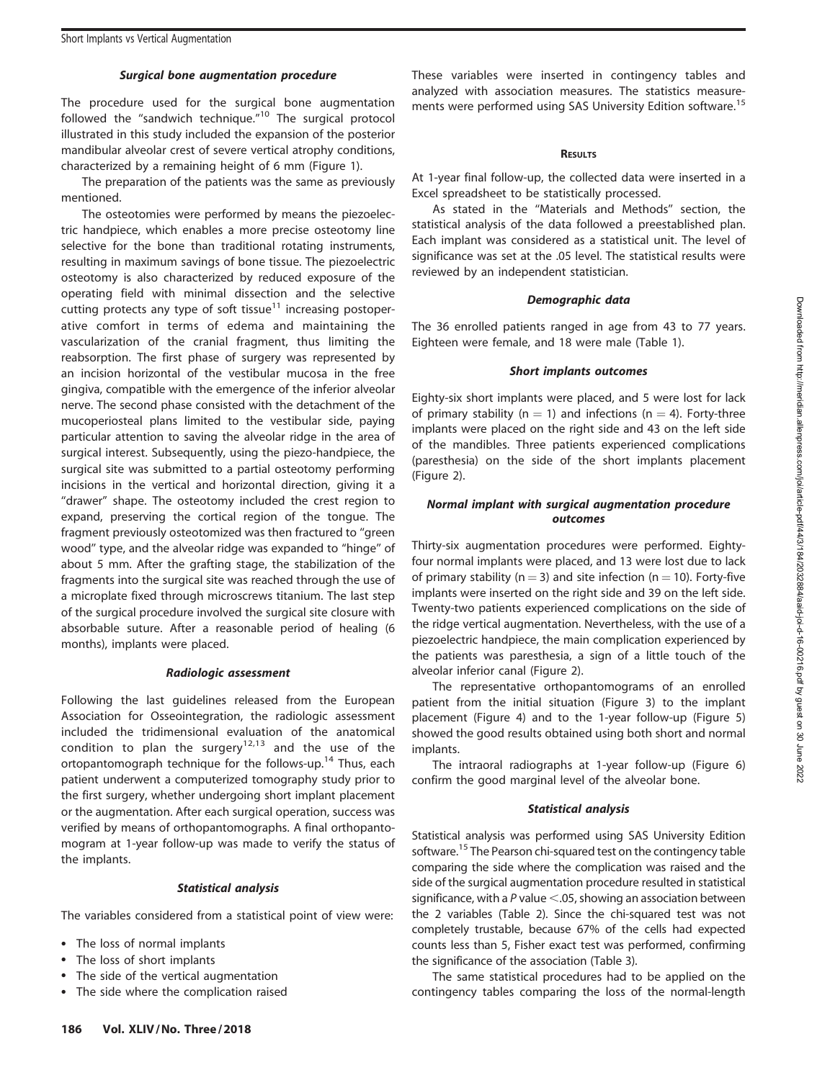#### Surgical bone augmentation procedure

The procedure used for the surgical bone augmentation followed the "sandwich technique."<sup>10</sup> The surgical protocol illustrated in this study included the expansion of the posterior mandibular alveolar crest of severe vertical atrophy conditions, characterized by a remaining height of 6 mm (Figure 1).

The preparation of the patients was the same as previously mentioned.

The osteotomies were performed by means the piezoelectric handpiece, which enables a more precise osteotomy line selective for the bone than traditional rotating instruments, resulting in maximum savings of bone tissue. The piezoelectric osteotomy is also characterized by reduced exposure of the operating field with minimal dissection and the selective cutting protects any type of soft tissue<sup>11</sup> increasing postoperative comfort in terms of edema and maintaining the vascularization of the cranial fragment, thus limiting the reabsorption. The first phase of surgery was represented by an incision horizontal of the vestibular mucosa in the free gingiva, compatible with the emergence of the inferior alveolar nerve. The second phase consisted with the detachment of the mucoperiosteal plans limited to the vestibular side, paying particular attention to saving the alveolar ridge in the area of surgical interest. Subsequently, using the piezo-handpiece, the surgical site was submitted to a partial osteotomy performing incisions in the vertical and horizontal direction, giving it a "drawer" shape. The osteotomy included the crest region to expand, preserving the cortical region of the tongue. The fragment previously osteotomized was then fractured to ''green wood'' type, and the alveolar ridge was expanded to ''hinge'' of about 5 mm. After the grafting stage, the stabilization of the fragments into the surgical site was reached through the use of a microplate fixed through microscrews titanium. The last step of the surgical procedure involved the surgical site closure with absorbable suture. After a reasonable period of healing (6 months), implants were placed.

## Radiologic assessment

Following the last guidelines released from the European Association for Osseointegration, the radiologic assessment included the tridimensional evaluation of the anatomical condition to plan the surgery<sup>12,13</sup> and the use of the ortopantomograph technique for the follows-up.<sup>14</sup> Thus, each patient underwent a computerized tomography study prior to the first surgery, whether undergoing short implant placement or the augmentation. After each surgical operation, success was verified by means of orthopantomographs. A final orthopantomogram at 1-year follow-up was made to verify the status of the implants.

#### Statistical analysis

The variables considered from a statistical point of view were:

- The loss of normal implants
- The loss of short implants
- -The side of the vertical augmentation
- -The side where the complication raised

These variables were inserted in contingency tables and analyzed with association measures. The statistics measurements were performed using SAS University Edition software.<sup>15</sup>

#### **RESULTS**

At 1-year final follow-up, the collected data were inserted in a Excel spreadsheet to be statistically processed.

As stated in the ''Materials and Methods'' section, the statistical analysis of the data followed a preestablished plan. Each implant was considered as a statistical unit. The level of significance was set at the .05 level. The statistical results were reviewed by an independent statistician.

#### Demographic data

The 36 enrolled patients ranged in age from 43 to 77 years. Eighteen were female, and 18 were male (Table 1).

#### Short implants outcomes

Eighty-six short implants were placed, and 5 were lost for lack of primary stability ( $n = 1$ ) and infections ( $n = 4$ ). Forty-three implants were placed on the right side and 43 on the left side of the mandibles. Three patients experienced complications (paresthesia) on the side of the short implants placement (Figure 2).

## Normal implant with surgical augmentation procedure outcomes

Thirty-six augmentation procedures were performed. Eightyfour normal implants were placed, and 13 were lost due to lack of primary stability ( $n = 3$ ) and site infection ( $n = 10$ ). Forty-five implants were inserted on the right side and 39 on the left side. Twenty-two patients experienced complications on the side of the ridge vertical augmentation. Nevertheless, with the use of a piezoelectric handpiece, the main complication experienced by the patients was paresthesia, a sign of a little touch of the alveolar inferior canal (Figure 2).

The representative orthopantomograms of an enrolled patient from the initial situation (Figure 3) to the implant placement (Figure 4) and to the 1-year follow-up (Figure 5) showed the good results obtained using both short and normal implants.

The intraoral radiographs at 1-year follow-up (Figure 6) confirm the good marginal level of the alveolar bone.

#### Statistical analysis

Statistical analysis was performed using SAS University Edition software.<sup>15</sup> The Pearson chi-squared test on the contingency table comparing the side where the complication was raised and the side of the surgical augmentation procedure resulted in statistical significance, with a  $P$  value  $\leq$ .05, showing an association between the 2 variables (Table 2). Since the chi-squared test was not completely trustable, because 67% of the cells had expected counts less than 5, Fisher exact test was performed, confirming the significance of the association (Table 3).

The same statistical procedures had to be applied on the contingency tables comparing the loss of the normal-length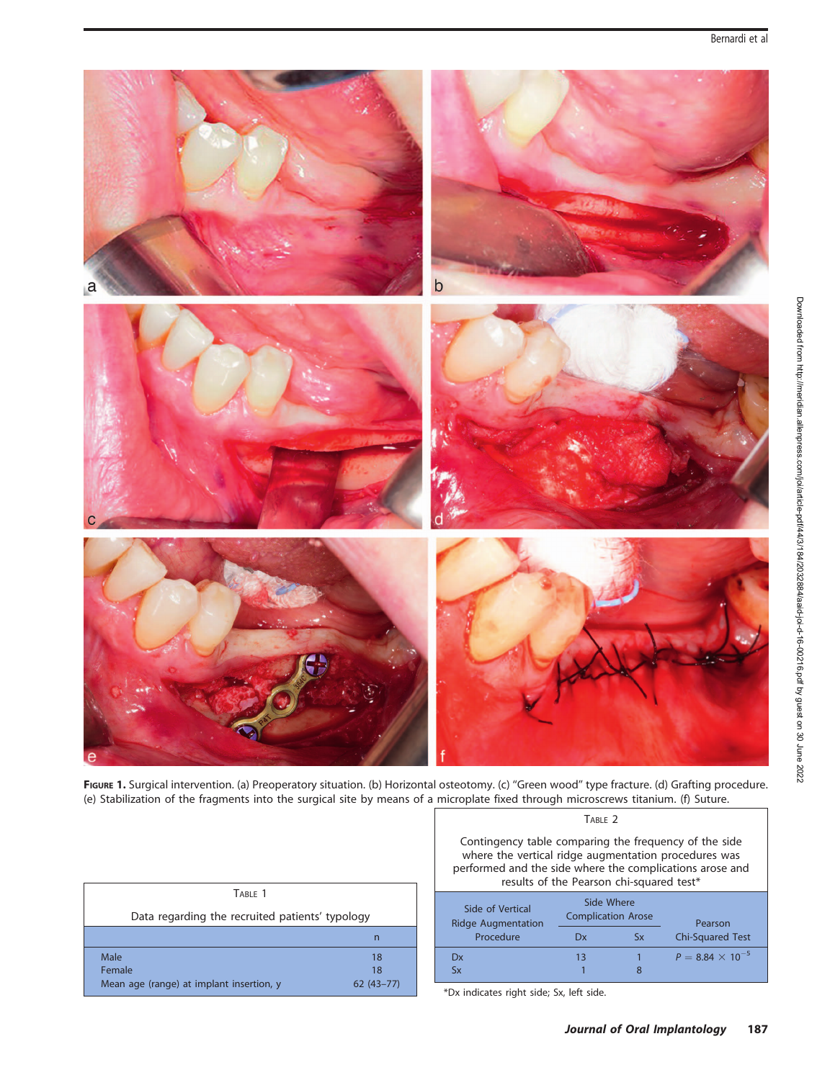

FIGURE 1. Surgical intervention. (a) Preoperatory situation. (b) Horizontal osteotomy. (c) "Green wood" type fracture. (d) Grafting procedure. (e) Stabilization of the fragments into the surgical site by means of a microplate fixed through microscrews titanium. (f) Suture.

| TABLE 1                                         |               |
|-------------------------------------------------|---------------|
| Data regarding the recruited patients' typology |               |
|                                                 | n             |
| Male                                            | 18            |
| Female                                          | 18            |
| Mean age (range) at implant insertion, y        | $62(43 - 77)$ |
|                                                 |               |

TABLE 2

Contingency table comparing the frequency of the side where the vertical ridge augmentation procedures was performed and the side where the complications arose and results of the Pearson chi-squared test\*

| Side of Vertical<br><b>Ridge Augmentation</b> |    | Side Where<br><b>Complication Arose</b> | Pearson                   |
|-----------------------------------------------|----|-----------------------------------------|---------------------------|
| Procedure                                     | Dx | Sx                                      | <b>Chi-Squared Test</b>   |
| Dx                                            | 13 |                                         | $P = 8.84 \times 10^{-5}$ |
| <b>Sx</b>                                     |    |                                         |                           |

\*Dx indicates right side; Sx, left side.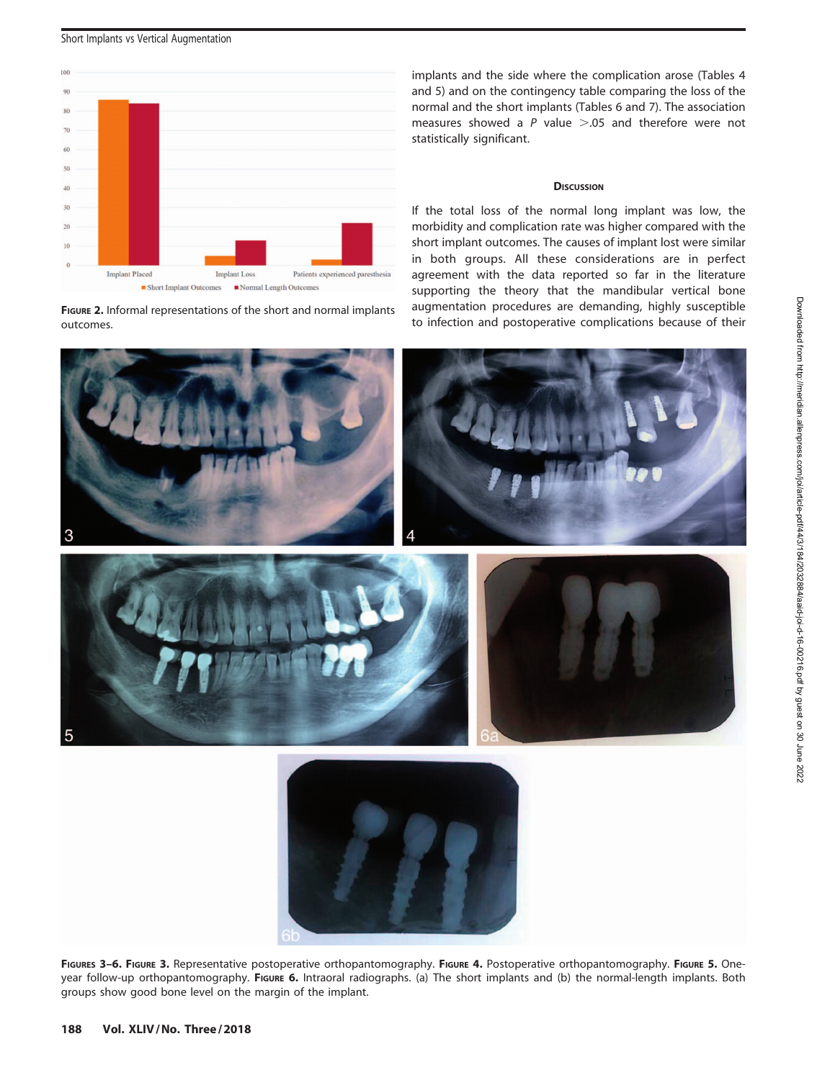

FIGURE 2. Informal representations of the short and normal implants outcomes.

implants and the side where the complication arose (Tables 4 and 5) and on the contingency table comparing the loss of the normal and the short implants (Tables 6 and 7). The association measures showed a P value  $> 0.05$  and therefore were not statistically significant.

# **DISCUSSION**

If the total loss of the normal long implant was low, the morbidity and complication rate was higher compared with the short implant outcomes. The causes of implant lost were similar in both groups. All these considerations are in perfect agreement with the data reported so far in the literature supporting the theory that the mandibular vertical bone augmentation procedures are demanding, highly susceptible to infection and postoperative complications because of their



FIGURES 3-6. FIGURE 3. Representative postoperative orthopantomography. FIGURE 4. Postoperative orthopantomography. FIGURE 5. Oneyear follow-up orthopantomography. FIGURE 6. Intraoral radiographs. (a) The short implants and (b) the normal-length implants. Both groups show good bone level on the margin of the implant.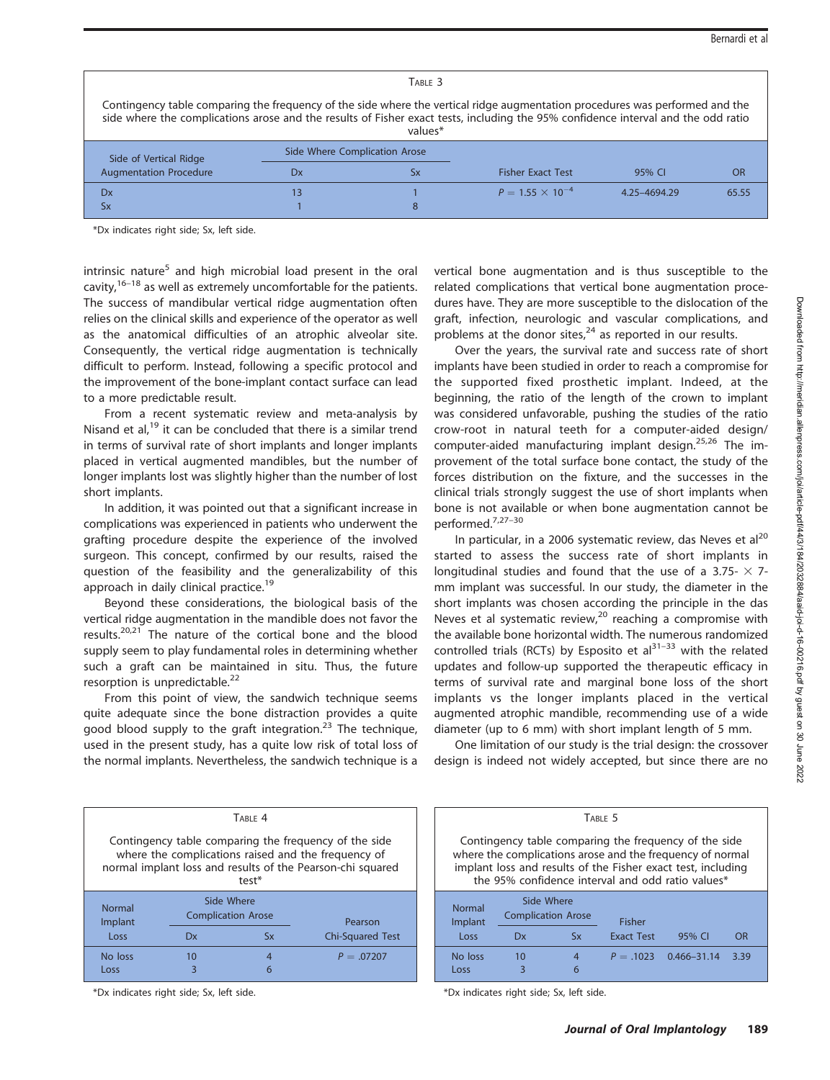#### TABLE 3

Contingency table comparing the frequency of the side where the vertical ridge augmentation procedures was performed and the side where the complications arose and the results of Fisher exact tests, including the 95% confidence interval and the odd ratio

| values*                |    |                               |                           |              |           |  |
|------------------------|----|-------------------------------|---------------------------|--------------|-----------|--|
| Side of Vertical Ridge |    | Side Where Complication Arose |                           |              |           |  |
| Augmentation Procedure | Dх | ЬΧ                            | <b>Fisher Exact Test</b>  | 95% CI       | <b>OR</b> |  |
| Dx                     |    |                               | $P = 1.55 \times 10^{-4}$ | 4.25-4694.29 | 65.55     |  |
| <b>Sx</b>              |    |                               |                           |              |           |  |

\*Dx indicates right side; Sx, left side.

intrinsic nature<sup>5</sup> and high microbial load present in the oral cavity, $16-18$  as well as extremely uncomfortable for the patients. The success of mandibular vertical ridge augmentation often relies on the clinical skills and experience of the operator as well as the anatomical difficulties of an atrophic alveolar site. Consequently, the vertical ridge augmentation is technically difficult to perform. Instead, following a specific protocol and the improvement of the bone-implant contact surface can lead to a more predictable result.

From a recent systematic review and meta-analysis by Nisand et al, $^{19}$  it can be concluded that there is a similar trend in terms of survival rate of short implants and longer implants placed in vertical augmented mandibles, but the number of longer implants lost was slightly higher than the number of lost short implants.

In addition, it was pointed out that a significant increase in complications was experienced in patients who underwent the grafting procedure despite the experience of the involved surgeon. This concept, confirmed by our results, raised the question of the feasibility and the generalizability of this approach in daily clinical practice.<sup>19</sup>

Beyond these considerations, the biological basis of the vertical ridge augmentation in the mandible does not favor the results. $20,21$  The nature of the cortical bone and the blood supply seem to play fundamental roles in determining whether such a graft can be maintained in situ. Thus, the future resorption is unpredictable.<sup>22</sup>

From this point of view, the sandwich technique seems quite adequate since the bone distraction provides a quite good blood supply to the graft integration.<sup>23</sup> The technique, used in the present study, has a quite low risk of total loss of the normal implants. Nevertheless, the sandwich technique is a

|  | vertical bone augmentation and is thus susceptible to the        |  |  |  |
|--|------------------------------------------------------------------|--|--|--|
|  | related complications that vertical bone augmentation proce-     |  |  |  |
|  | dures have. They are more susceptible to the dislocation of the  |  |  |  |
|  | graft, infection, neurologic and vascular complications, and     |  |  |  |
|  | problems at the donor sites, $^{24}$ as reported in our results. |  |  |  |

Over the years, the survival rate and success rate of short implants have been studied in order to reach a compromise for the supported fixed prosthetic implant. Indeed, at the beginning, the ratio of the length of the crown to implant was considered unfavorable, pushing the studies of the ratio crow-root in natural teeth for a computer-aided design/ computer-aided manufacturing implant design.<sup>25,26</sup> The improvement of the total surface bone contact, the study of the forces distribution on the fixture, and the successes in the clinical trials strongly suggest the use of short implants when bone is not available or when bone augmentation cannot be performed.7,27–30

In particular, in a 2006 systematic review, das Neves et al $^{20}$ started to assess the success rate of short implants in longitudinal studies and found that the use of a 3.75-  $\times$  7mm implant was successful. In our study, the diameter in the short implants was chosen according the principle in the das Neves et al systematic review, $20$  reaching a compromise with the available bone horizontal width. The numerous randomized controlled trials (RCTs) by Esposito et al $^{31-33}$  with the related updates and follow-up supported the therapeutic efficacy in terms of survival rate and marginal bone loss of the short implants vs the longer implants placed in the vertical augmented atrophic mandible, recommending use of a wide diameter (up to 6 mm) with short implant length of 5 mm.

One limitation of our study is the trial design: the crossover design is indeed not widely accepted, but since there are no

| TARIF <sub>4</sub>                                                                                                                                                                  |                                         |                |                         |  |  |  |
|-------------------------------------------------------------------------------------------------------------------------------------------------------------------------------------|-----------------------------------------|----------------|-------------------------|--|--|--|
| Contingency table comparing the frequency of the side<br>where the complications raised and the frequency of<br>normal implant loss and results of the Pearson-chi squared<br>test* |                                         |                |                         |  |  |  |
| <b>Normal</b><br>Implant                                                                                                                                                            | Side Where<br><b>Complication Arose</b> |                | Pearson                 |  |  |  |
| Loss                                                                                                                                                                                | Dx                                      | <b>Sx</b>      | <b>Chi-Squared Test</b> |  |  |  |
| No loss<br>Loss                                                                                                                                                                     | 10<br>3                                 | $\overline{4}$ | $P = .07207$            |  |  |  |
|                                                                                                                                                                                     |                                         |                |                         |  |  |  |

\*Dx indicates right side; Sx, left side.

|                                                                                                                                                                                                                                         |         | TABLE 5             |             |                 |      |
|-----------------------------------------------------------------------------------------------------------------------------------------------------------------------------------------------------------------------------------------|---------|---------------------|-------------|-----------------|------|
| Contingency table comparing the frequency of the side<br>where the complications arose and the frequency of normal<br>implant loss and results of the Fisher exact test, including<br>the 95% confidence interval and odd ratio values* |         |                     |             |                 |      |
| Side Where<br><b>Normal</b><br><b>Complication Arose</b><br><b>Fisher</b><br>Implant<br><b>Exact Test</b><br><b>Sx</b><br>95% CI<br>Loss<br>Dx<br>OR                                                                                    |         |                     |             |                 |      |
|                                                                                                                                                                                                                                         |         |                     |             |                 |      |
| No loss<br>Loss                                                                                                                                                                                                                         | 10<br>3 | $\overline{4}$<br>6 | $P = .1023$ | $0.466 - 31.14$ | 3.39 |
|                                                                                                                                                                                                                                         |         |                     |             |                 |      |

\*Dx indicates right side; Sx, left side.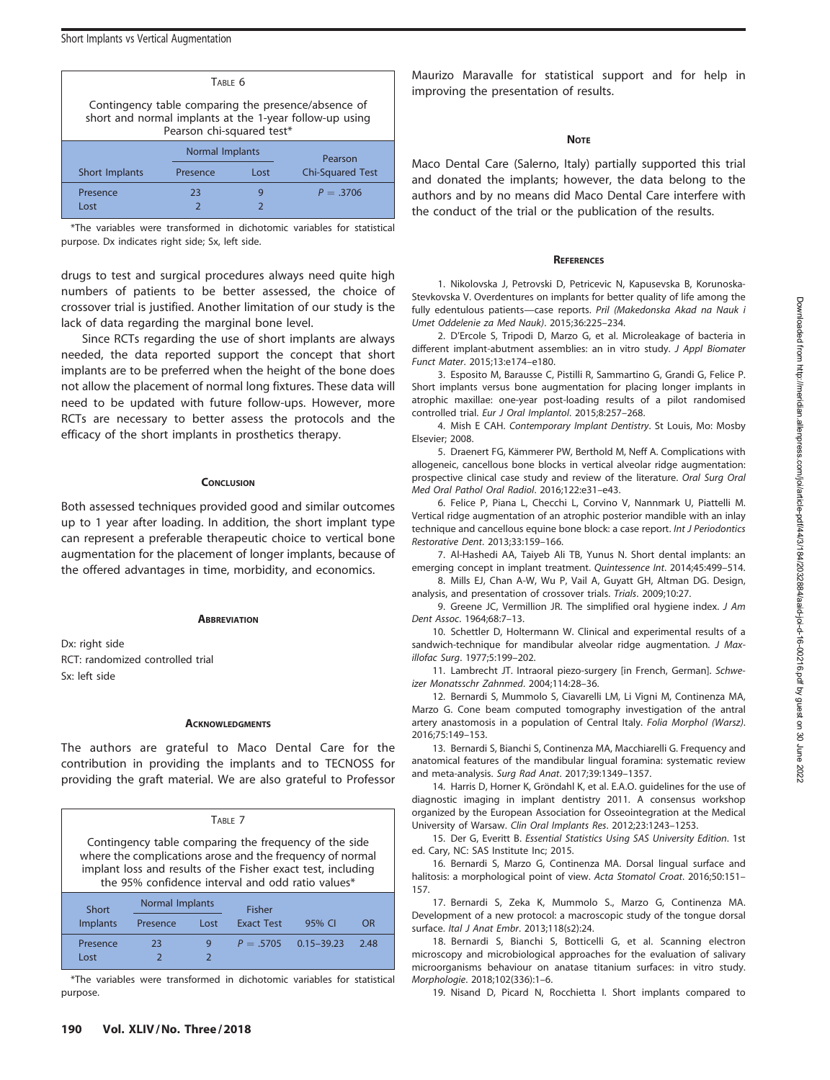| TABLE 6                                                                                                                                     |          |      |                         |  |  |  |  |
|---------------------------------------------------------------------------------------------------------------------------------------------|----------|------|-------------------------|--|--|--|--|
| Contingency table comparing the presence/absence of<br>short and normal implants at the 1-year follow-up using<br>Pearson chi-squared test* |          |      |                         |  |  |  |  |
| <b>Normal Implants</b><br>Pearson                                                                                                           |          |      |                         |  |  |  |  |
|                                                                                                                                             |          |      |                         |  |  |  |  |
| Short Implants                                                                                                                              | Presence | Lost | <b>Chi-Squared Test</b> |  |  |  |  |
| Presence                                                                                                                                    | 23       | g    | $P = 3706$              |  |  |  |  |

\*The variables were transformed in dichotomic variables for statistical purpose. Dx indicates right side; Sx, left side.

drugs to test and surgical procedures always need quite high numbers of patients to be better assessed, the choice of crossover trial is justified. Another limitation of our study is the lack of data regarding the marginal bone level.

Since RCTs regarding the use of short implants are always needed, the data reported support the concept that short implants are to be preferred when the height of the bone does not allow the placement of normal long fixtures. These data will need to be updated with future follow-ups. However, more RCTs are necessary to better assess the protocols and the efficacy of the short implants in prosthetics therapy.

## **CONCLUSION**

Both assessed techniques provided good and similar outcomes up to 1 year after loading. In addition, the short implant type can represent a preferable therapeutic choice to vertical bone augmentation for the placement of longer implants, because of the offered advantages in time, morbidity, and economics.

## **ABBREVIATION**

Dx: right side RCT: randomized controlled trial Sx: left side

## **ACKNOWLEDGMENTS**

The authors are grateful to Maco Dental Care for the contribution in providing the implants and to TECNOSS for providing the graft material. We are also grateful to Professor

| TABLE 7                                                                                                                                                                                                                                 |                                  |      |                   |                |      |  |  |  |
|-----------------------------------------------------------------------------------------------------------------------------------------------------------------------------------------------------------------------------------------|----------------------------------|------|-------------------|----------------|------|--|--|--|
| Contingency table comparing the frequency of the side<br>where the complications arose and the frequency of normal<br>implant loss and results of the Fisher exact test, including<br>the 95% confidence interval and odd ratio values* |                                  |      |                   |                |      |  |  |  |
| Short                                                                                                                                                                                                                                   | Normal Implants<br><b>Fisher</b> |      |                   |                |      |  |  |  |
| Implants                                                                                                                                                                                                                                | Presence                         | Lost | <b>Exact Test</b> | 95% CI         | OR   |  |  |  |
| Presence                                                                                                                                                                                                                                | 23                               | 9    | $P = 5705$        | $0.15 - 39.23$ | 2.48 |  |  |  |
| Lost                                                                                                                                                                                                                                    |                                  |      |                   |                |      |  |  |  |

\*The variables were transformed in dichotomic variables for statistical purpose.

Maurizo Maravalle for statistical support and for help in improving the presentation of results.

# **NOTE**

Maco Dental Care (Salerno, Italy) partially supported this trial and donated the implants; however, the data belong to the authors and by no means did Maco Dental Care interfere with the conduct of the trial or the publication of the results.

# **REFERENCES**

1. Nikolovska J, Petrovski D, Petricevic N, Kapusevska B, Korunoska-Stevkovska V. Overdentures on implants for better quality of life among the fully edentulous patients—case reports. Pril (Makedonska Akad na Nauk i Umet Oddelenie za Med Nauk). 2015;36:225–234.

2. D'Ercole S, Tripodi D, Marzo G, et al. Microleakage of bacteria in different implant-abutment assemblies: an in vitro study. J Appl Biomater Funct Mater. 2015;13:e174–e180.

3. Esposito M, Barausse C, Pistilli R, Sammartino G, Grandi G, Felice P. Short implants versus bone augmentation for placing longer implants in atrophic maxillae: one-year post-loading results of a pilot randomised controlled trial. Eur J Oral Implantol. 2015;8:257–268.

4. Mish E CAH. Contemporary Implant Dentistry. St Louis, Mo: Mosby Elsevier; 2008.

5. Draenert FG, Kämmerer PW, Berthold M, Neff A. Complications with allogeneic, cancellous bone blocks in vertical alveolar ridge augmentation: prospective clinical case study and review of the literature. Oral Surg Oral Med Oral Pathol Oral Radiol. 2016;122:e31–e43.

6. Felice P, Piana L, Checchi L, Corvino V, Nannmark U, Piattelli M. Vertical ridge augmentation of an atrophic posterior mandible with an inlay technique and cancellous equine bone block: a case report. Int J Periodontics Restorative Dent. 2013;33:159–166.

7. Al-Hashedi AA, Taiyeb Ali TB, Yunus N. Short dental implants: an emerging concept in implant treatment. Quintessence Int. 2014;45:499–514.

8. Mills EJ, Chan A-W, Wu P, Vail A, Guyatt GH, Altman DG. Design, analysis, and presentation of crossover trials. Trials. 2009;10:27.

9. Greene JC, Vermillion JR. The simplified oral hygiene index. J Am Dent Assoc. 1964;68:7–13.

10. Schettler D, Holtermann W. Clinical and experimental results of a sandwich-technique for mandibular alveolar ridge augmentation. J Maxillofac Surg. 1977;5:199–202.

11. Lambrecht JT. Intraoral piezo-surgery [in French, German]. Schweizer Monatsschr Zahnmed. 2004;114:28–36.

12. Bernardi S, Mummolo S, Ciavarelli LM, Li Vigni M, Continenza MA, Marzo G. Cone beam computed tomography investigation of the antral artery anastomosis in a population of Central Italy. Folia Morphol (Warsz). 2016;75:149–153.

13. Bernardi S, Bianchi S, Continenza MA, Macchiarelli G. Frequency and anatomical features of the mandibular lingual foramina: systematic review and meta-analysis. Surg Rad Anat. 2017;39:1349–1357.

14. Harris D, Horner K, Gröndahl K, et al. E.A.O. guidelines for the use of diagnostic imaging in implant dentistry 2011. A consensus workshop organized by the European Association for Osseointegration at the Medical University of Warsaw. Clin Oral Implants Res. 2012;23:1243–1253.

15. Der G, Everitt B. Essential Statistics Using SAS University Edition. 1st ed. Cary, NC: SAS Institute Inc; 2015.

16. Bernardi S, Marzo G, Continenza MA. Dorsal lingual surface and halitosis: a morphological point of view. Acta Stomatol Croat. 2016;50:151-157.

17. Bernardi S, Zeka K, Mummolo S., Marzo G, Continenza MA. Development of a new protocol: a macroscopic study of the tongue dorsal surface. Ital J Anat Embr. 2013;118(s2):24.

18. Bernardi S, Bianchi S, Botticelli G, et al. Scanning electron microscopy and microbiological approaches for the evaluation of salivary microorganisms behaviour on anatase titanium surfaces: in vitro study. Morphologie. 2018;102(336):1–6.

19. Nisand D, Picard N, Rocchietta I. Short implants compared to